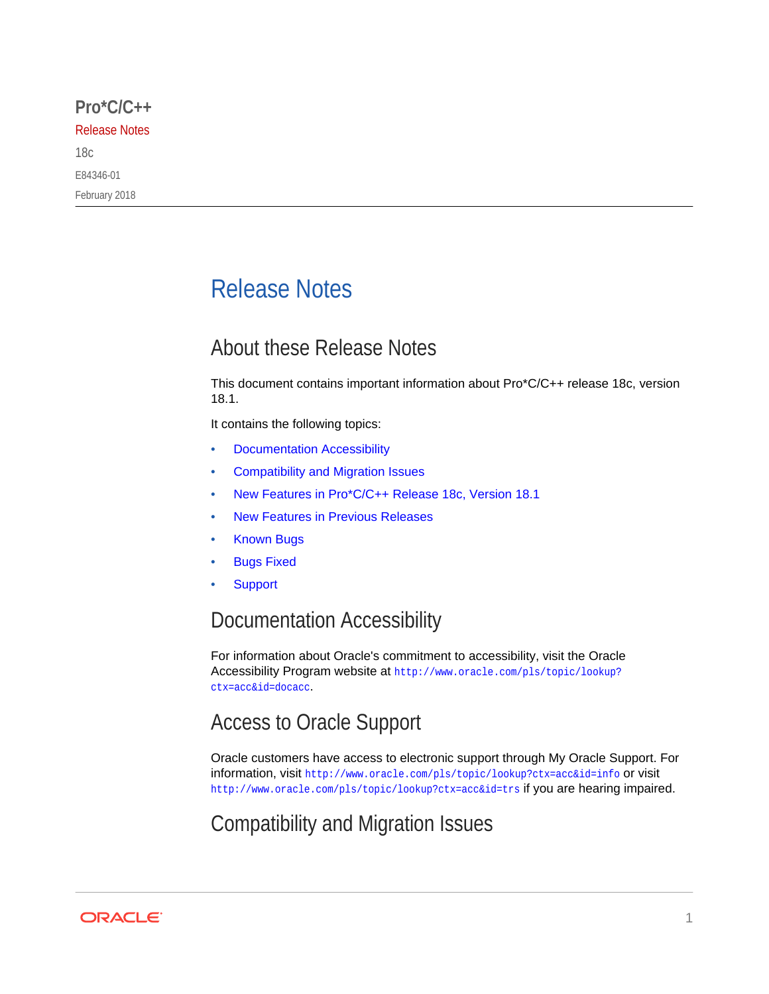#### **Pro\*C/C++**

#### Release Notes

18c E84346-01 February 2018

# Release Notes

# About these Release Notes

This document contains important information about Pro\*C/C++ release 18c, version 18.1.

It contains the following topics:

- Documentation Accessibility
- Compatibility and Migration Issues
- [New Features in Pro\\*C/C++ Release 18c, Version 18.1](#page-1-0)
- [New Features in Previous Releases](#page-1-0)
- [Known Bugs](#page-3-0)
- **[Bugs Fixed](#page-2-0)**
- **[Support](#page-4-0)**

# Documentation Accessibility

For information about Oracle's commitment to accessibility, visit the Oracle Accessibility Program website at [http://www.oracle.com/pls/topic/lookup?](http://www.oracle.com/pls/topic/lookup?ctx=acc&id=docacc) [ctx=acc&id=docacc](http://www.oracle.com/pls/topic/lookup?ctx=acc&id=docacc).

# Access to Oracle Support

Oracle customers have access to electronic support through My Oracle Support. For information, visit <http://www.oracle.com/pls/topic/lookup?ctx=acc&id=info> or visit <http://www.oracle.com/pls/topic/lookup?ctx=acc&id=trs> if you are hearing impaired.

# Compatibility and Migration Issues

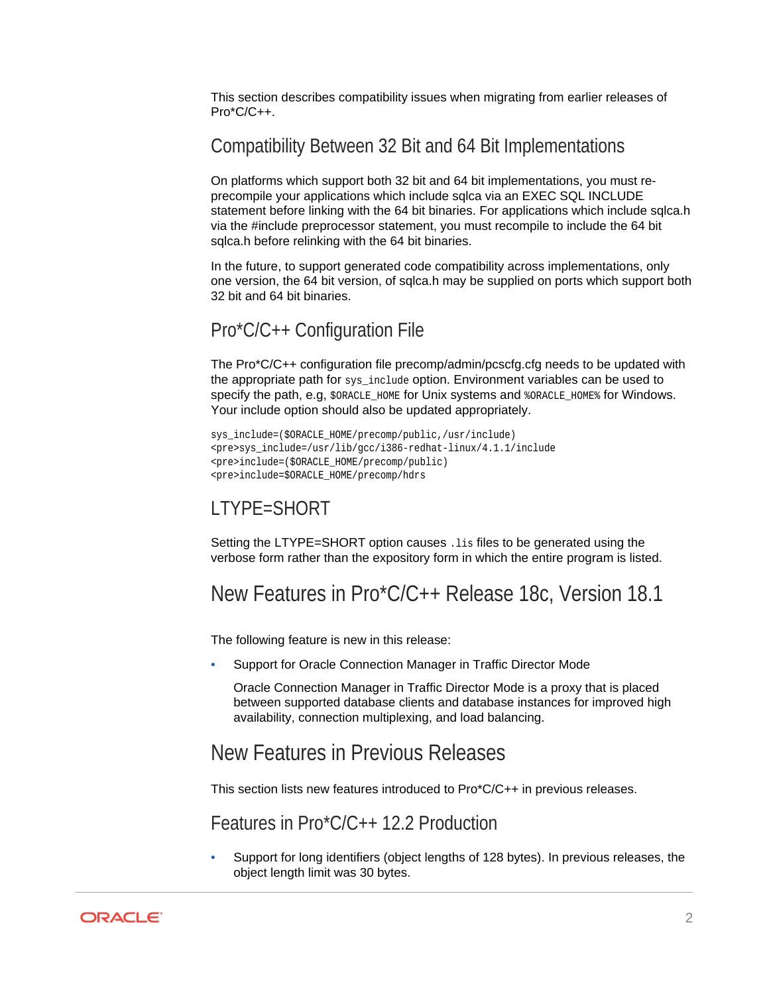<span id="page-1-0"></span>This section describes compatibility issues when migrating from earlier releases of Pro\*C/C++.

### Compatibility Between 32 Bit and 64 Bit Implementations

On platforms which support both 32 bit and 64 bit implementations, you must reprecompile your applications which include sqlca via an EXEC SQL INCLUDE statement before linking with the 64 bit binaries. For applications which include sqlca.h via the #include preprocessor statement, you must recompile to include the 64 bit sqlca.h before relinking with the 64 bit binaries.

In the future, to support generated code compatibility across implementations, only one version, the 64 bit version, of sqlca.h may be supplied on ports which support both 32 bit and 64 bit binaries.

#### Pro\*C/C++ Configuration File

The Pro\*C/C++ configuration file precomp/admin/pcscfg.cfg needs to be updated with the appropriate path for sys\_include option. Environment variables can be used to specify the path, e.g,  $$ORACLE$  HOME for Unix systems and  $$ORACLE$  HOME  $$$  for Windows. Your include option should also be updated appropriately.

```
sys_include=($ORACLE_HOME/precomp/public,/usr/include)
<pre>sys_include=/usr/lib/gcc/i386-redhat-linux/4.1.1/include
<pre>include=($ORACLE_HOME/precomp/public)
<pre>include=$ORACLE_HOME/precomp/hdrs
```
### LTYPE=SHORT

Setting the LTYPE=SHORT option causes .lis files to be generated using the verbose form rather than the expository form in which the entire program is listed.

### New Features in Pro\*C/C++ Release 18c, Version 18.1

The following feature is new in this release:

• Support for Oracle Connection Manager in Traffic Director Mode

Oracle Connection Manager in Traffic Director Mode is a proxy that is placed between supported database clients and database instances for improved high availability, connection multiplexing, and load balancing.

### New Features in Previous Releases

This section lists new features introduced to Pro\*C/C++ in previous releases.

Features in Pro\*C/C++ 12.2 Production

• Support for long identifiers (object lengths of 128 bytes). In previous releases, the object length limit was 30 bytes.

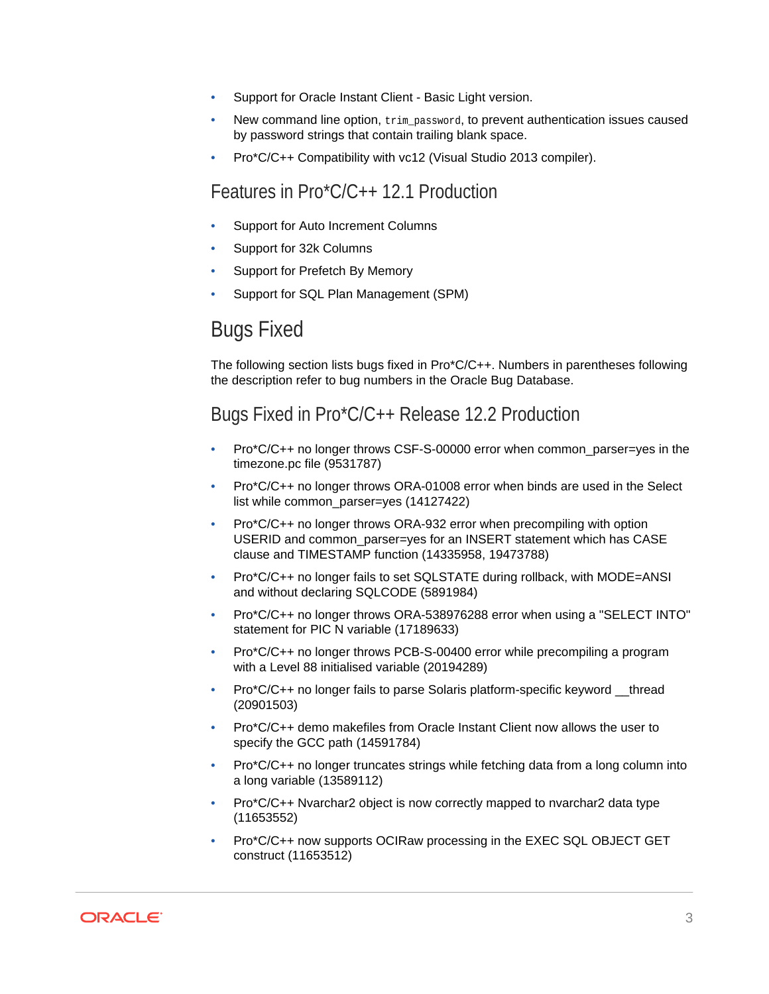- <span id="page-2-0"></span>Support for Oracle Instant Client - Basic Light version.
- New command line option, trim password, to prevent authentication issues caused by password strings that contain trailing blank space.
- Pro\*C/C++ Compatibility with vc12 (Visual Studio 2013 compiler).

### Features in Pro\*C/C++ 12.1 Production

- Support for Auto Increment Columns
- Support for 32k Columns
- Support for Prefetch By Memory
- Support for SQL Plan Management (SPM)

#### Bugs Fixed

The following section lists bugs fixed in Pro\*C/C++. Numbers in parentheses following the description refer to bug numbers in the Oracle Bug Database.

#### Bugs Fixed in Pro\*C/C++ Release 12.2 Production

- Pro\*C/C++ no longer throws CSF-S-00000 error when common\_parser=yes in the timezone.pc file (9531787)
- Pro\*C/C++ no longer throws ORA-01008 error when binds are used in the Select list while common\_parser=yes (14127422)
- Pro\*C/C++ no longer throws ORA-932 error when precompiling with option USERID and common\_parser=yes for an INSERT statement which has CASE clause and TIMESTAMP function (14335958, 19473788)
- Pro\*C/C++ no longer fails to set SQLSTATE during rollback, with MODE=ANSI and without declaring SQLCODE (5891984)
- Pro\*C/C++ no longer throws ORA-538976288 error when using a "SELECT INTO" statement for PIC N variable (17189633)
- Pro\*C/C++ no longer throws PCB-S-00400 error while precompiling a program with a Level 88 initialised variable (20194289)
- Pro\*C/C++ no longer fails to parse Solaris platform-specific keyword \_\_thread (20901503)
- Pro\*C/C++ demo makefiles from Oracle Instant Client now allows the user to specify the GCC path (14591784)
- Pro\*C/C++ no longer truncates strings while fetching data from a long column into a long variable (13589112)
- Pro\*C/C++ Nvarchar2 object is now correctly mapped to nvarchar2 data type (11653552)
- Pro\*C/C++ now supports OCIRaw processing in the EXEC SQL OBJECT GET construct (11653512)

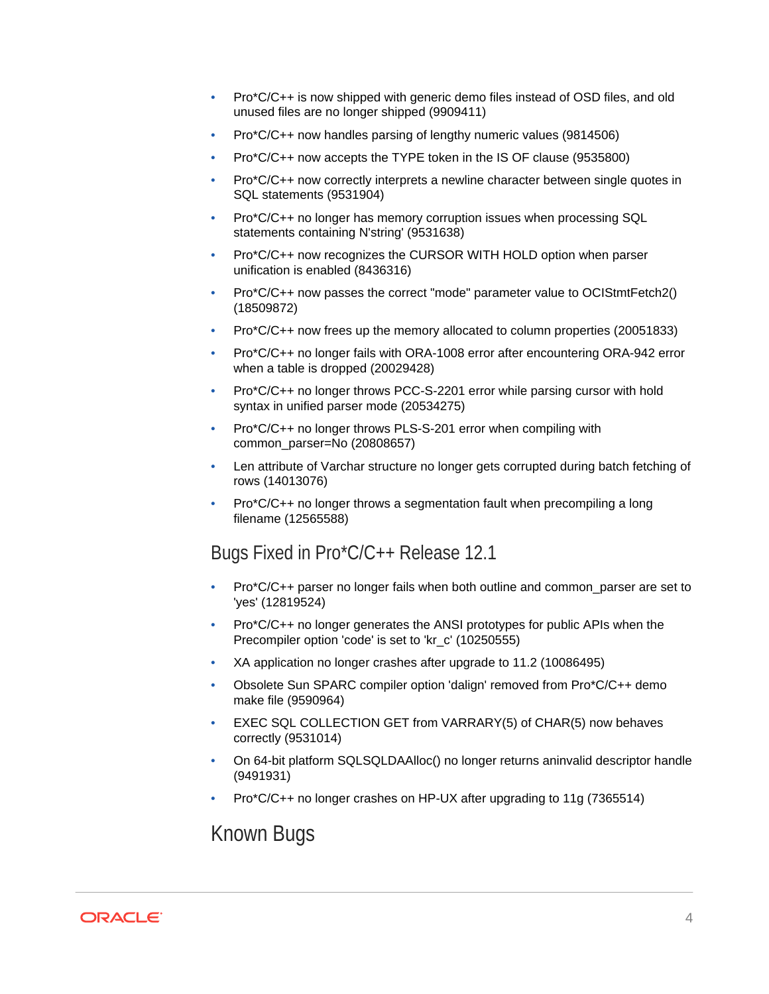- <span id="page-3-0"></span>• Pro\*C/C++ is now shipped with generic demo files instead of OSD files, and old unused files are no longer shipped (9909411)
- Pro\*C/C++ now handles parsing of lengthy numeric values (9814506)
- Pro\*C/C++ now accepts the TYPE token in the IS OF clause (9535800)
- Pro\*C/C++ now correctly interprets a newline character between single quotes in SQL statements (9531904)
- Pro\*C/C++ no longer has memory corruption issues when processing SQL statements containing N'string' (9531638)
- Pro\*C/C++ now recognizes the CURSOR WITH HOLD option when parser unification is enabled (8436316)
- Pro\*C/C++ now passes the correct "mode" parameter value to OCIStmtFetch2() (18509872)
- Pro\*C/C++ now frees up the memory allocated to column properties (20051833)
- Pro\*C/C++ no longer fails with ORA-1008 error after encountering ORA-942 error when a table is dropped (20029428)
- Pro\*C/C++ no longer throws PCC-S-2201 error while parsing cursor with hold syntax in unified parser mode (20534275)
- Pro\*C/C++ no longer throws PLS-S-201 error when compiling with common\_parser=No (20808657)
- Len attribute of Varchar structure no longer gets corrupted during batch fetching of rows (14013076)
- Pro\*C/C++ no longer throws a segmentation fault when precompiling a long filename (12565588)

Bugs Fixed in Pro\*C/C++ Release 12.1

- Pro\*C/C++ parser no longer fails when both outline and common parser are set to 'yes' (12819524)
- Pro\*C/C++ no longer generates the ANSI prototypes for public APIs when the Precompiler option 'code' is set to 'kr\_c' (10250555)
- XA application no longer crashes after upgrade to 11.2 (10086495)
- Obsolete Sun SPARC compiler option 'dalign' removed from Pro\*C/C++ demo make file (9590964)
- EXEC SQL COLLECTION GET from VARRARY(5) of CHAR(5) now behaves correctly (9531014)
- On 64-bit platform SQLSQLDAAlloc() no longer returns aninvalid descriptor handle (9491931)
- Pro\*C/C++ no longer crashes on HP-UX after upgrading to 11g (7365514)

#### Known Bugs

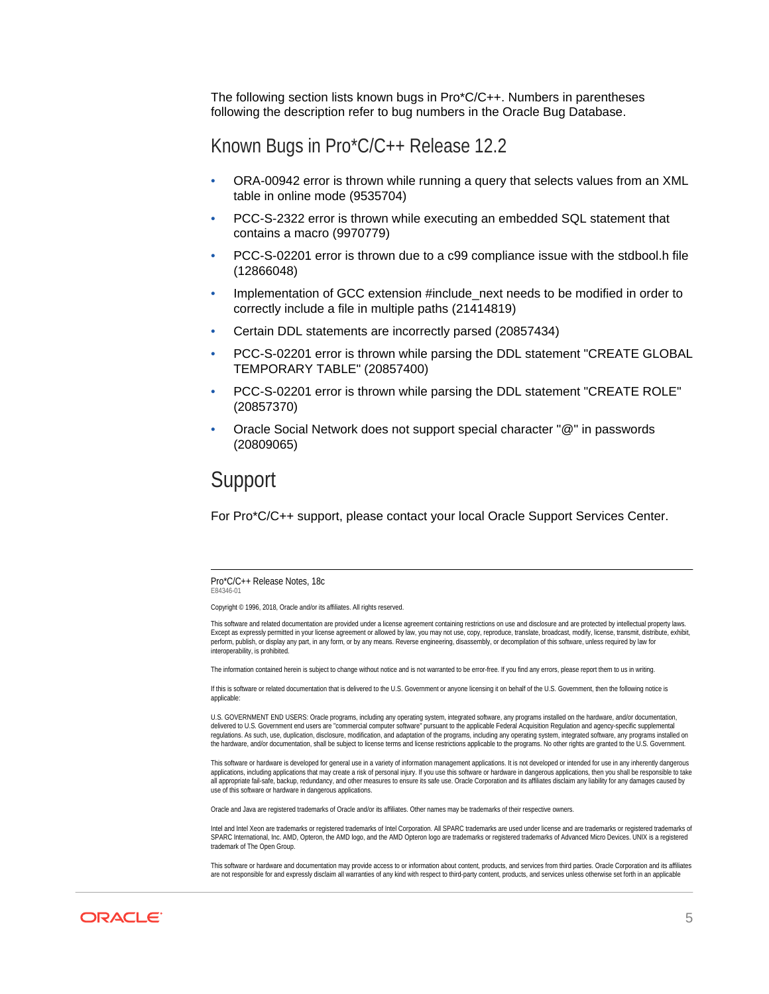<span id="page-4-0"></span>The following section lists known bugs in Pro\*C/C++. Numbers in parentheses following the description refer to bug numbers in the Oracle Bug Database.

#### Known Bugs in Pro\*C/C++ Release 12.2

- ORA-00942 error is thrown while running a query that selects values from an XML table in online mode (9535704)
- PCC-S-2322 error is thrown while executing an embedded SQL statement that contains a macro (9970779)
- PCC-S-02201 error is thrown due to a c99 compliance issue with the stdbool.h file (12866048)
- Implementation of GCC extension #include next needs to be modified in order to correctly include a file in multiple paths (21414819)
- Certain DDL statements are incorrectly parsed (20857434)
- PCC-S-02201 error is thrown while parsing the DDL statement "CREATE GLOBAL TEMPORARY TABLE" (20857400)
- PCC-S-02201 error is thrown while parsing the DDL statement "CREATE ROLE" (20857370)
- Oracle Social Network does not support special character "@" in passwords (20809065)

#### **Support**

For Pro\*C/C++ support, please contact your local Oracle Support Services Center.

Pro\*C/C++ Release Notes, 18c E84346-01

Copyright © 1996, 2018, Oracle and/or its affiliates. All rights reserved.

This software and related documentation are provided under a license agreement containing restrictions on use and disclosure and are protected by intellectual property laws. Except as expressly permitted in your license agreement or allowed by law, you may not use, copy, reproduce, translate, broadcast, modify, license, transmit, distribute, exhibit, perform, publish, or display any part, in any form, or by any means. Reverse engineering, disassembly, or decompilation of this software, unless required by law for interoperability, is prohibited.

The information contained herein is subject to change without notice and is not warranted to be error-free. If you find any errors, please report them to us in writing.

If this is software or related documentation that is delivered to the U.S. Government or anyone licensing it on behalf of the U.S. Government, then the following notice is applicable:

U.S. GOVERNMENT END USERS: Oracle programs, including any operating system, integrated software, any programs installed on the hardware, and/or documentation,<br>delivered to U.S. Government end users are "commercial computer regulations. As such, use, duplication, disclosure, modification, and adaptation of the programs, including any operating system, integrated software, any programs installed on the hardware, and/or documentation, shall be subject to license terms and license restrictions applicable to the programs. No other rights are granted to the U.S. Government.

This software or hardware is developed for general use in a variety of information management applications. It is not developed or intended for use in any inherently dangerous applications, including applications that may create a risk of personal injury. If you use this software or hardware in dangerous applications, then you shall be responsible to take all appropriate fail-safe, backup, redundancy, and other measures to ensure its safe use. Oracle Corporation and its affiliates disclaim any liability for any damages caused by use of this software or hardware in dangerous applications.

Oracle and Java are registered trademarks of Oracle and/or its affiliates. Other names may be trademarks of their respective owners.

Intel and Intel Xeon are trademarks or registered trademarks of Intel Corporation. All SPARC trademarks are used under license and are trademarks or registered trademarks of SPARC International, Inc. AMD, Opteron, the AMD logo, and the AMD Opteron logo are trademarks or registered trademarks of Advanced Micro Devices. UNIX is a registered trademark of The Open Group.

This software or hardware and documentation may provide access to or information about content, products, and services from third parties. Oracle Corporation and its affiliates are not responsible for and expressly disclaim all warranties of any kind with respect to third-party content, products, and services unless otherwise set forth in an applicable